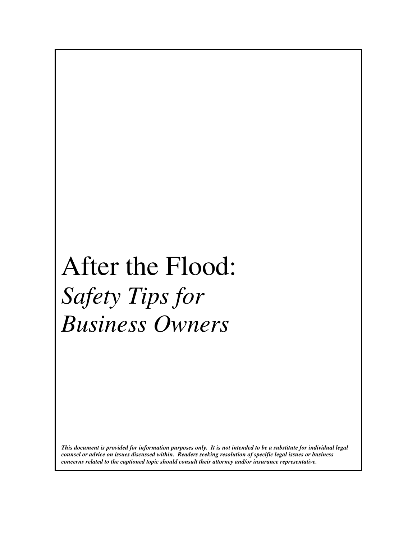# After the Flood: *Safety Tips for Business Owners*

*This document is provided for information purposes only. It is not intended to be a substitute for individual legal counsel or advice on issues discussed within. Readers seeking resolution of specific legal issues or business concerns related to the captioned topic should consult their attorney and/or insurance representative.*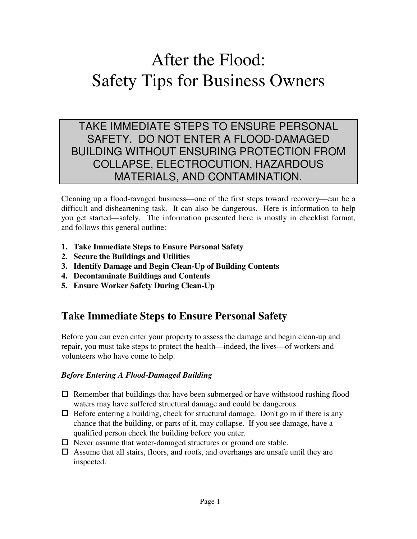## After the Flood: Safety Tips for Business Owners

### TAKE IMMEDIATE STEPS TO ENSURE PERSONAL SAFETY. DO NOT ENTER A FLOOD-DAMAGED BUILDING WITHOUT ENSURING PROTECTION FROM COLLAPSE, ELECTROCUTION, HAZARDOUS MATERIALS, AND CONTAMINATION.

Cleaning up a flood-ravaged business—one of the first steps toward recovery—can be a difficult and disheartening task. It can also be dangerous. Here is information to help you get started—safely. The information presented here is mostly in checklist format, and follows this general outline:

- **1. Take Immediate Steps to Ensure Personal Safety**
- **2. Secure the Buildings and Utilities**
- **3. Identify Damage and Begin Clean-Up of Building Contents**
- **4. Decontaminate Buildings and Contents**
- **5. Ensure Worker Safety During Clean-Up**

## **Take Immediate Steps to Ensure Personal Safety**

Before you can even enter your property to assess the damage and begin clean-up and repair, you must take steps to protect the health—indeed, the lives—of workers and volunteers who have come to help.

#### *Before Entering A Flood-Damaged Building*

- $\Box$  Remember that buildings that have been submerged or have withstood rushing flood waters may have suffered structural damage and could be dangerous.
- $\Box$  Before entering a building, check for structural damage. Don't go in if there is any chance that the building, or parts of it, may collapse. If you see damage, have a qualified person check the building before you enter.
- $\Box$  Never assume that water-damaged structures or ground are stable.
- $\Box$  Assume that all stairs, floors, and roofs, and overhangs are unsafe until they are inspected.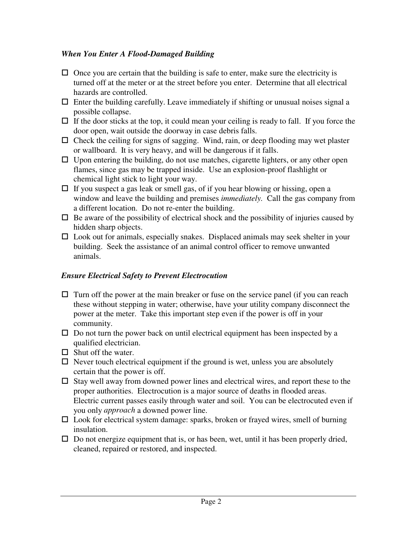#### *When You Enter A Flood-Damaged Building*

- $\Box$  Once you are certain that the building is safe to enter, make sure the electricity is turned off at the meter or at the street before you enter. Determine that all electrical hazards are controlled.
- $\Box$  Enter the building carefully. Leave immediately if shifting or unusual noises signal a possible collapse.
- $\Box$  If the door sticks at the top, it could mean your ceiling is ready to fall. If you force the door open, wait outside the doorway in case debris falls.
- $\Box$  Check the ceiling for signs of sagging. Wind, rain, or deep flooding may wet plaster or wallboard. It is very heavy, and will be dangerous if it falls.
- $\Box$  Upon entering the building, do not use matches, cigarette lighters, or any other open flames, since gas may be trapped inside. Use an explosion-proof flashlight or chemical light stick to light your way.
- $\Box$  If you suspect a gas leak or smell gas, of if you hear blowing or hissing, open a window and leave the building and premises *immediately.* Call the gas company from a different location. Do not re-enter the building.
- $\Box$  Be aware of the possibility of electrical shock and the possibility of injuries caused by hidden sharp objects.
- $\Box$  Look out for animals, especially snakes. Displaced animals may seek shelter in your building. Seek the assistance of an animal control officer to remove unwanted animals.

#### *Ensure Electrical Safety to Prevent Electrocution*

- $\Box$  Turn off the power at the main breaker or fuse on the service panel (if you can reach these without stepping in water; otherwise, have your utility company disconnect the power at the meter. Take this important step even if the power is off in your community.
- $\Box$  Do not turn the power back on until electrical equipment has been inspected by a qualified electrician.
- $\Box$  Shut off the water.
- $\Box$  Never touch electrical equipment if the ground is wet, unless you are absolutely certain that the power is off.
- $\Box$  Stay well away from downed power lines and electrical wires, and report these to the proper authorities. Electrocution is a major source of deaths in flooded areas. Electric current passes easily through water and soil. You can be electrocuted even if you only *approach* a downed power line.
- $\Box$  Look for electrical system damage: sparks, broken or frayed wires, smell of burning insulation.
- $\Box$  Do not energize equipment that is, or has been, wet, until it has been properly dried, cleaned, repaired or restored, and inspected.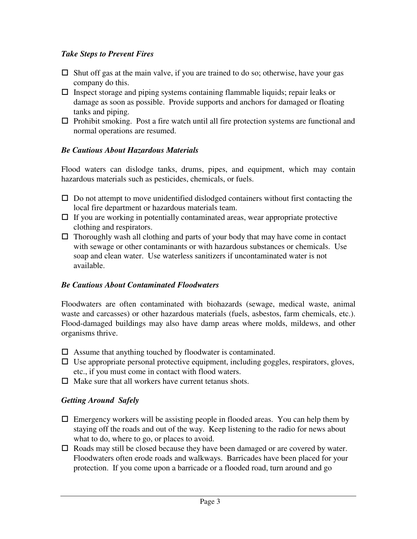#### *Take Steps to Prevent Fires*

- $\Box$  Shut off gas at the main valve, if you are trained to do so; otherwise, have your gas company do this.
- $\Box$  Inspect storage and piping systems containing flammable liquids; repair leaks or damage as soon as possible. Provide supports and anchors for damaged or floating tanks and piping.
- $\Box$  Prohibit smoking. Post a fire watch until all fire protection systems are functional and normal operations are resumed.

#### *Be Cautious About Hazardous Materials*

Flood waters can dislodge tanks, drums, pipes, and equipment, which may contain hazardous materials such as pesticides, chemicals, or fuels.

- $\Box$  Do not attempt to move unidentified dislodged containers without first contacting the local fire department or hazardous materials team.
- $\Box$  If you are working in potentially contaminated areas, wear appropriate protective clothing and respirators.
- $\Box$  Thoroughly wash all clothing and parts of your body that may have come in contact with sewage or other contaminants or with hazardous substances or chemicals. Use soap and clean water. Use waterless sanitizers if uncontaminated water is not available.

#### *Be Cautious About Contaminated Floodwaters*

Floodwaters are often contaminated with biohazards (sewage, medical waste, animal waste and carcasses) or other hazardous materials (fuels, asbestos, farm chemicals, etc.). Flood-damaged buildings may also have damp areas where molds, mildews, and other organisms thrive.

- $\Box$  Assume that anything touched by floodwater is contaminated.
- $\Box$  Use appropriate personal protective equipment, including goggles, respirators, gloves, etc., if you must come in contact with flood waters.
- $\Box$  Make sure that all workers have current tetanus shots.

#### *Getting Around Safely*

- $\Box$  Emergency workers will be assisting people in flooded areas. You can help them by staying off the roads and out of the way. Keep listening to the radio for news about what to do, where to go, or places to avoid.
- $\Box$  Roads may still be closed because they have been damaged or are covered by water. Floodwaters often erode roads and walkways. Barricades have been placed for your protection. If you come upon a barricade or a flooded road, turn around and go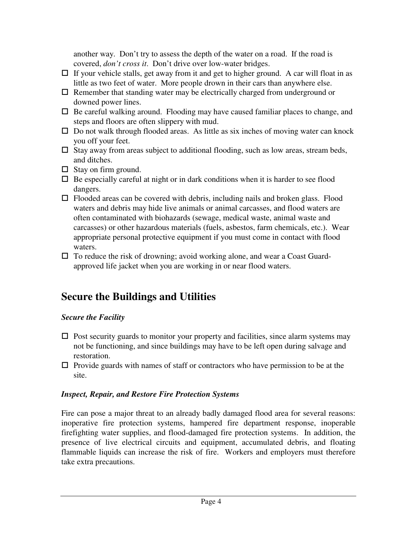another way. Don't try to assess the depth of the water on a road. If the road is covered, *don't cross it*. Don't drive over low-water bridges.

- $\Box$  If your vehicle stalls, get away from it and get to higher ground. A car will float in as little as two feet of water. More people drown in their cars than anywhere else.
- $\Box$  Remember that standing water may be electrically charged from underground or downed power lines.
- $\Box$  Be careful walking around. Flooding may have caused familiar places to change, and steps and floors are often slippery with mud.
- $\Box$  Do not walk through flooded areas. As little as six inches of moving water can knock you off your feet.
- $\Box$  Stay away from areas subject to additional flooding, such as low areas, stream beds, and ditches.
- $\Box$  Stay on firm ground.
- $\Box$  Be especially careful at night or in dark conditions when it is harder to see flood dangers.
- $\Box$  Flooded areas can be covered with debris, including nails and broken glass. Flood waters and debris may hide live animals or animal carcasses, and flood waters are often contaminated with biohazards (sewage, medical waste, animal waste and carcasses) or other hazardous materials (fuels, asbestos, farm chemicals, etc.). Wear appropriate personal protective equipment if you must come in contact with flood waters.
- $\Box$  To reduce the risk of drowning; avoid working alone, and wear a Coast Guardapproved life jacket when you are working in or near flood waters.

## **Secure the Buildings and Utilities**

#### *Secure the Facility*

- $\Box$  Post security guards to monitor your property and facilities, since alarm systems may not be functioning, and since buildings may have to be left open during salvage and restoration.
- $\Box$  Provide guards with names of staff or contractors who have permission to be at the site.

#### *Inspect, Repair, and Restore Fire Protection Systems*

Fire can pose a major threat to an already badly damaged flood area for several reasons: inoperative fire protection systems, hampered fire department response, inoperable firefighting water supplies, and flood-damaged fire protection systems. In addition, the presence of live electrical circuits and equipment, accumulated debris, and floating flammable liquids can increase the risk of fire. Workers and employers must therefore take extra precautions.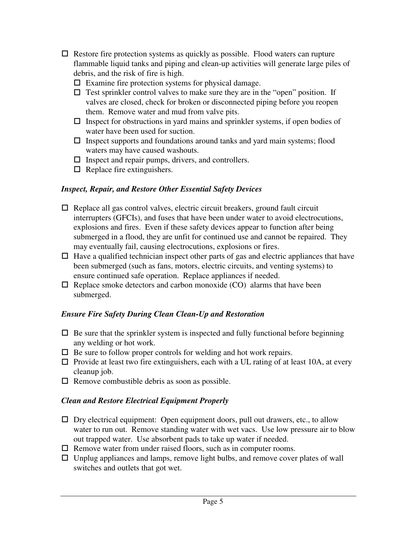- $\Box$  Restore fire protection systems as quickly as possible. Flood waters can rupture flammable liquid tanks and piping and clean-up activities will generate large piles of debris, and the risk of fire is high.
	- $\Box$  Examine fire protection systems for physical damage.
	- $\Box$  Test sprinkler control valves to make sure they are in the "open" position. If valves are closed, check for broken or disconnected piping before you reopen them. Remove water and mud from valve pits.
	- $\Box$  Inspect for obstructions in yard mains and sprinkler systems, if open bodies of water have been used for suction.
	- $\Box$  Inspect supports and foundations around tanks and yard main systems; flood waters may have caused washouts.
	- $\Box$  Inspect and repair pumps, drivers, and controllers.
	- $\Box$  Replace fire extinguishers.

#### *Inspect, Repair, and Restore Other Essential Safety Devices*

- $\Box$  Replace all gas control valves, electric circuit breakers, ground fault circuit interrupters (GFCIs), and fuses that have been under water to avoid electrocutions, explosions and fires. Even if these safety devices appear to function after being submerged in a flood, they are unfit for continued use and cannot be repaired. They may eventually fail, causing electrocutions, explosions or fires.
- $\Box$  Have a qualified technician inspect other parts of gas and electric appliances that have been submerged (such as fans, motors, electric circuits, and venting systems) to ensure continued safe operation. Replace appliances if needed.
- $\Box$  Replace smoke detectors and carbon monoxide (CO) alarms that have been submerged.

#### *Ensure Fire Safety During Clean Clean-Up and Restoration*

- $\Box$  Be sure that the sprinkler system is inspected and fully functional before beginning any welding or hot work.
- $\Box$  Be sure to follow proper controls for welding and hot work repairs.
- $\Box$  Provide at least two fire extinguishers, each with a UL rating of at least 10A, at every cleanup job.
- $\Box$  Remove combustible debris as soon as possible.

#### *Clean and Restore Electrical Equipment Properly*

- $\Box$  Dry electrical equipment: Open equipment doors, pull out drawers, etc., to allow water to run out. Remove standing water with wet vacs. Use low pressure air to blow out trapped water. Use absorbent pads to take up water if needed.
- $\Box$  Remove water from under raised floors, such as in computer rooms.
- $\Box$  Unplug appliances and lamps, remove light bulbs, and remove cover plates of wall switches and outlets that got wet.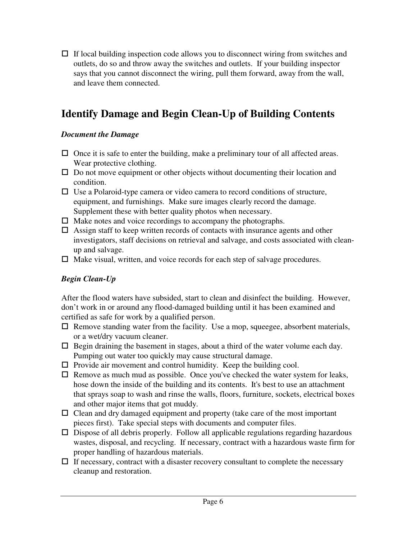$\Box$  If local building inspection code allows you to disconnect wiring from switches and outlets, do so and throw away the switches and outlets. If your building inspector says that you cannot disconnect the wiring, pull them forward, away from the wall, and leave them connected.

## **Identify Damage and Begin Clean-Up of Building Contents**

#### *Document the Damage*

- $\Box$  Once it is safe to enter the building, make a preliminary tour of all affected areas. Wear protective clothing.
- $\Box$  Do not move equipment or other objects without documenting their location and condition.
- $\Box$  Use a Polaroid-type camera or video camera to record conditions of structure, equipment, and furnishings. Make sure images clearly record the damage. Supplement these with better quality photos when necessary.
- $\Box$  Make notes and voice recordings to accompany the photographs.
- $\Box$  Assign staff to keep written records of contacts with insurance agents and other investigators, staff decisions on retrieval and salvage, and costs associated with cleanup and salvage.
- $\Box$  Make visual, written, and voice records for each step of salvage procedures.

#### *Begin Clean-Up*

After the flood waters have subsided, start to clean and disinfect the building. However, don't work in or around any flood-damaged building until it has been examined and certified as safe for work by a qualified person.

- $\Box$  Remove standing water from the facility. Use a mop, squeegee, absorbent materials, or a wet/dry vacuum cleaner.
- $\Box$  Begin draining the basement in stages, about a third of the water volume each day. Pumping out water too quickly may cause structural damage.
- $\Box$  Provide air movement and control humidity. Keep the building cool.
- $\Box$  Remove as much mud as possible. Once you've checked the water system for leaks, hose down the inside of the building and its contents. It's best to use an attachment that sprays soap to wash and rinse the walls, floors, furniture, sockets, electrical boxes and other major items that got muddy.
- $\Box$  Clean and dry damaged equipment and property (take care of the most important pieces first). Take special steps with documents and computer files.
- $\Box$  Dispose of all debris properly. Follow all applicable regulations regarding hazardous wastes, disposal, and recycling. If necessary, contract with a hazardous waste firm for proper handling of hazardous materials.
- $\Box$  If necessary, contract with a disaster recovery consultant to complete the necessary cleanup and restoration.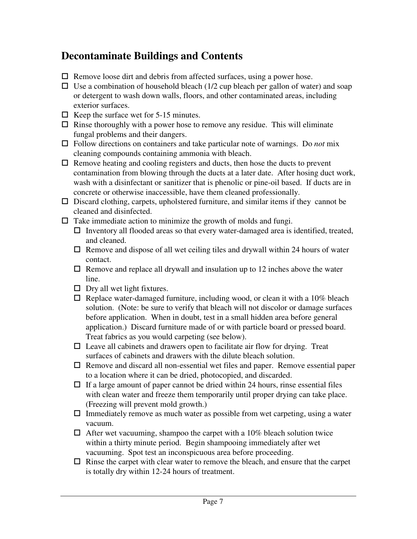## **Decontaminate Buildings and Contents**

- $\Box$  Remove loose dirt and debris from affected surfaces, using a power hose.
- $\Box$  Use a combination of household bleach (1/2 cup bleach per gallon of water) and soap or detergent to wash down walls, floors, and other contaminated areas, including exterior surfaces.
- $\Box$  Keep the surface wet for 5-15 minutes.
- $\Box$  Rinse thoroughly with a power hose to remove any residue. This will eliminate fungal problems and their dangers.
- ! Follow directions on containers and take particular note of warnings. Do *not* mix cleaning compounds containing ammonia with bleach.
- $\Box$  Remove heating and cooling registers and ducts, then hose the ducts to prevent contamination from blowing through the ducts at a later date. After hosing duct work, wash with a disinfectant or sanitizer that is phenolic or pine-oil based. If ducts are in concrete or otherwise inaccessible, have them cleaned professionally.
- $\Box$  Discard clothing, carpets, upholstered furniture, and similar items if they cannot be cleaned and disinfected.
- $\Box$  Take immediate action to minimize the growth of molds and fungi.
	- $\Box$  Inventory all flooded areas so that every water-damaged area is identified, treated, and cleaned.
	- $\Box$  Remove and dispose of all wet ceiling tiles and drywall within 24 hours of water contact.
	- $\Box$  Remove and replace all drywall and insulation up to 12 inches above the water line.
	- $\Box$  Dry all wet light fixtures.
	- $\Box$  Replace water-damaged furniture, including wood, or clean it with a 10% bleach solution. (Note: be sure to verify that bleach will not discolor or damage surfaces before application. When in doubt, test in a small hidden area before general application.) Discard furniture made of or with particle board or pressed board. Treat fabrics as you would carpeting (see below).
	- $\Box$  Leave all cabinets and drawers open to facilitate air flow for drying. Treat surfaces of cabinets and drawers with the dilute bleach solution.
	- $\Box$  Remove and discard all non-essential wet files and paper. Remove essential paper to a location where it can be dried, photocopied, and discarded.
	- $\Box$  If a large amount of paper cannot be dried within 24 hours, rinse essential files with clean water and freeze them temporarily until proper drying can take place. (Freezing will prevent mold growth.)
	- $\Box$  Immediately remove as much water as possible from wet carpeting, using a water vacuum.
	- $\Box$  After wet vacuuming, shampoo the carpet with a 10% bleach solution twice within a thirty minute period. Begin shampooing immediately after wet vacuuming. Spot test an inconspicuous area before proceeding.
	- $\Box$  Rinse the carpet with clear water to remove the bleach, and ensure that the carpet is totally dry within 12-24 hours of treatment.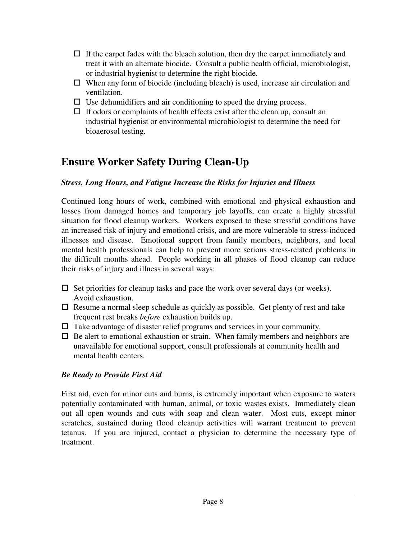- $\Box$  If the carpet fades with the bleach solution, then dry the carpet immediately and treat it with an alternate biocide. Consult a public health official, microbiologist, or industrial hygienist to determine the right biocide.
- $\Box$  When any form of biocide (including bleach) is used, increase air circulation and ventilation.
- $\Box$  Use dehumidifiers and air conditioning to speed the drying process.
- $\Box$  If odors or complaints of health effects exist after the clean up, consult an industrial hygienist or environmental microbiologist to determine the need for bioaerosol testing.

## **Ensure Worker Safety During Clean-Up**

#### *Stress, Long Hours, and Fatigue Increase the Risks for Injuries and Illness*

Continued long hours of work, combined with emotional and physical exhaustion and losses from damaged homes and temporary job layoffs, can create a highly stressful situation for flood cleanup workers. Workers exposed to these stressful conditions have an increased risk of injury and emotional crisis, and are more vulnerable to stress-induced illnesses and disease. Emotional support from family members, neighbors, and local mental health professionals can help to prevent more serious stress-related problems in the difficult months ahead. People working in all phases of flood cleanup can reduce their risks of injury and illness in several ways:

- $\Box$  Set priorities for cleanup tasks and pace the work over several days (or weeks). Avoid exhaustion.
- $\Box$  Resume a normal sleep schedule as quickly as possible. Get plenty of rest and take frequent rest breaks *before* exhaustion builds up.
- $\Box$  Take advantage of disaster relief programs and services in your community.
- $\Box$  Be alert to emotional exhaustion or strain. When family members and neighbors are unavailable for emotional support, consult professionals at community health and mental health centers.

#### *Be Ready to Provide First Aid*

First aid, even for minor cuts and burns, is extremely important when exposure to waters potentially contaminated with human, animal, or toxic wastes exists. Immediately clean out all open wounds and cuts with soap and clean water. Most cuts, except minor scratches, sustained during flood cleanup activities will warrant treatment to prevent tetanus. If you are injured, contact a physician to determine the necessary type of treatment.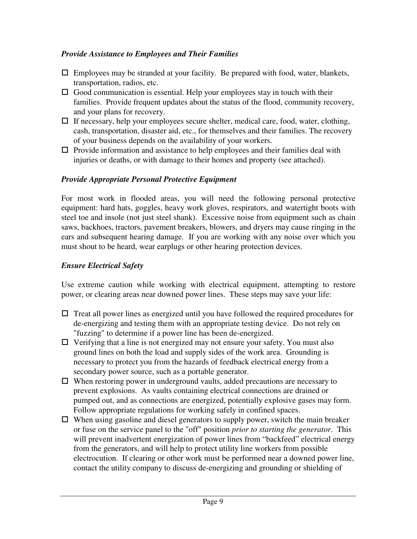#### *Provide Assistance to Employees and Their Families*

- $\Box$  Employees may be stranded at your facility. Be prepared with food, water, blankets, transportation, radios, etc.
- $\Box$  Good communication is essential. Help your employees stay in touch with their families. Provide frequent updates about the status of the flood, community recovery, and your plans for recovery.
- $\Box$  If necessary, help your employees secure shelter, medical care, food, water, clothing, cash, transportation, disaster aid, etc., for themselves and their families. The recovery of your business depends on the availability of your workers.
- $\Box$  Provide information and assistance to help employees and their families deal with injuries or deaths, or with damage to their homes and property (see attached).

#### *Provide Appropriate Personal Protective Equipment*

For most work in flooded areas, you will need the following personal protective equipment: hard hats, goggles, heavy work gloves, respirators, and watertight boots with steel toe and insole (not just steel shank). Excessive noise from equipment such as chain saws, backhoes, tractors, pavement breakers, blowers, and dryers may cause ringing in the ears and subsequent hearing damage. If you are working with any noise over which you must shout to be heard, wear earplugs or other hearing protection devices.

#### *Ensure Electrical Safety*

Use extreme caution while working with electrical equipment, attempting to restore power, or clearing areas near downed power lines. These steps may save your life:

- $\Box$  Treat all power lines as energized until you have followed the required procedures for de-energizing and testing them with an appropriate testing device. Do not rely on "fuzzing" to determine if a power line has been de-energized.
- $\Box$  Verifying that a line is not energized may not ensure your safety. You must also ground lines on both the load and supply sides of the work area. Grounding is necessary to protect you from the hazards of feedback electrical energy from a secondary power source, such as a portable generator.
- $\Box$  When restoring power in underground vaults, added precautions are necessary to prevent explosions. As vaults containing electrical connections are drained or pumped out, and as connections are energized, potentially explosive gases may form. Follow appropriate regulations for working safely in confined spaces.
- $\Box$  When using gasoline and diesel generators to supply power, switch the main breaker or fuse on the service panel to the "off" position *prior to starting the generator*. This will prevent inadvertent energization of power lines from "backfeed" electrical energy from the generators, and will help to protect utility line workers from possible electrocution. If clearing or other work must be performed near a downed power line, contact the utility company to discuss de-energizing and grounding or shielding of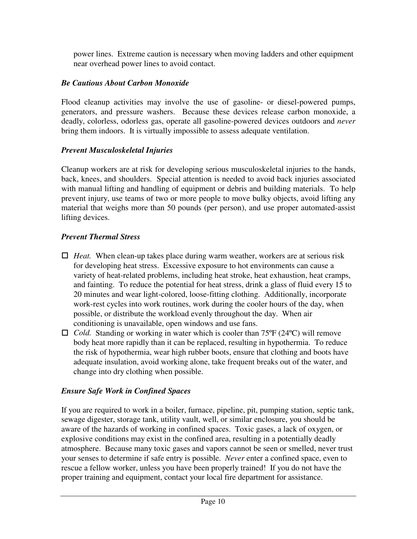power lines. Extreme caution is necessary when moving ladders and other equipment near overhead power lines to avoid contact.

#### *Be Cautious About Carbon Monoxide*

Flood cleanup activities may involve the use of gasoline- or diesel-powered pumps, generators, and pressure washers. Because these devices release carbon monoxide, a deadly, colorless, odorless gas, operate all gasoline-powered devices outdoors and *never* bring them indoors. It is virtually impossible to assess adequate ventilation.

#### *Prevent Musculoskeletal Injuries*

Cleanup workers are at risk for developing serious musculoskeletal injuries to the hands, back, knees, and shoulders. Special attention is needed to avoid back injuries associated with manual lifting and handling of equipment or debris and building materials. To help prevent injury, use teams of two or more people to move bulky objects, avoid lifting any material that weighs more than 50 pounds (per person), and use proper automated-assist lifting devices.

#### *Prevent Thermal Stress*

- $\Box$  *Heat.* When clean-up takes place during warm weather, workers are at serious risk for developing heat stress. Excessive exposure to hot environments can cause a variety of heat-related problems, including heat stroke, heat exhaustion, heat cramps, and fainting. To reduce the potential for heat stress, drink a glass of fluid every 15 to 20 minutes and wear light-colored, loose-fitting clothing. Additionally, incorporate work-rest cycles into work routines, work during the cooler hours of the day, when possible, or distribute the workload evenly throughout the day. When air conditioning is unavailable, open windows and use fans.
- □ *Cold.* Standing or working in water which is cooler than 75°F (24°C) will remove body heat more rapidly than it can be replaced, resulting in hypothermia. To reduce the risk of hypothermia, wear high rubber boots, ensure that clothing and boots have adequate insulation, avoid working alone, take frequent breaks out of the water, and change into dry clothing when possible.

#### *Ensure Safe Work in Confined Spaces*

If you are required to work in a boiler, furnace, pipeline, pit, pumping station, septic tank, sewage digester, storage tank, utility vault, well, or similar enclosure, you should be aware of the hazards of working in confined spaces. Toxic gases, a lack of oxygen, or explosive conditions may exist in the confined area, resulting in a potentially deadly atmosphere. Because many toxic gases and vapors cannot be seen or smelled, never trust your senses to determine if safe entry is possible. *Never* enter a confined space, even to rescue a fellow worker, unless you have been properly trained! If you do not have the proper training and equipment, contact your local fire department for assistance.